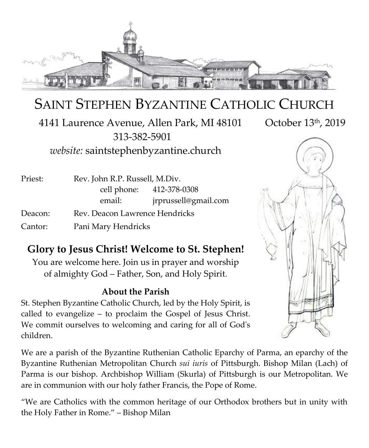

# SAINT STEPHEN BYZANTINE CATHOLIC CHURCH

4141 Laurence Avenue, Allen Park, MI 48101 October 13th, 2019 313-382-5901 *website:* saintstephenbyzantine.church



Priest: Rev. John R.P. Russell, M.Div. cell phone: 412-378-0308 email: jrprussell@gmail.com Deacon: Rev. Deacon Lawrence Hendricks

Cantor: Pani Mary Hendricks

# **Glory to Jesus Christ! Welcome to St. Stephen!**

You are welcome here. Join us in prayer and worship of almighty God – Father, Son, and Holy Spirit.

### **About the Parish**

St. Stephen Byzantine Catholic Church, led by the Holy Spirit, is called to evangelize – to proclaim the Gospel of Jesus Christ. We commit ourselves to welcoming and caring for all of God's children.

We are a parish of the Byzantine Ruthenian Catholic Eparchy of Parma, an eparchy of the Byzantine Ruthenian Metropolitan Church *sui iuris* of Pittsburgh. Bishop Milan (Lach) of Parma is our bishop. Archbishop William (Skurla) of Pittsburgh is our Metropolitan. We are in communion with our holy father Francis, the Pope of Rome.

"We are Catholics with the common heritage of our Orthodox brothers but in unity with the Holy Father in Rome." – Bishop Milan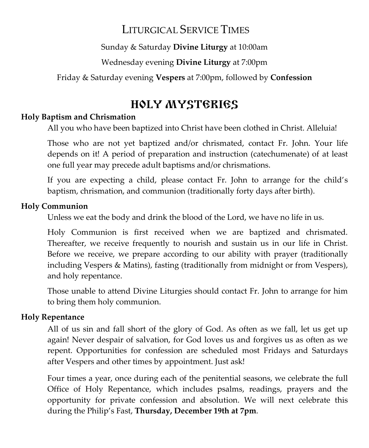# LITURGICAL SERVICE TIMES

Sunday & Saturday **Divine Liturgy** at 10:00am

Wednesday evening **Divine Liturgy** at 7:00pm

Friday & Saturday evening **Vespers** at 7:00pm, followed by **Confession**

# HOLY MYSTERIES

### **Holy Baptism and Chrismation**

All you who have been baptized into Christ have been clothed in Christ. Alleluia!

Those who are not yet baptized and/or chrismated, contact Fr. John. Your life depends on it! A period of preparation and instruction (catechumenate) of at least one full year may precede adult baptisms and/or chrismations.

If you are expecting a child, please contact Fr. John to arrange for the child's baptism, chrismation, and communion (traditionally forty days after birth).

### **Holy Communion**

Unless we eat the body and drink the blood of the Lord, we have no life in us.

Holy Communion is first received when we are baptized and chrismated. Thereafter, we receive frequently to nourish and sustain us in our life in Christ. Before we receive, we prepare according to our ability with prayer (traditionally including Vespers & Matins), fasting (traditionally from midnight or from Vespers), and holy repentance.

Those unable to attend Divine Liturgies should contact Fr. John to arrange for him to bring them holy communion.

### **Holy Repentance**

All of us sin and fall short of the glory of God. As often as we fall, let us get up again! Never despair of salvation, for God loves us and forgives us as often as we repent. Opportunities for confession are scheduled most Fridays and Saturdays after Vespers and other times by appointment. Just ask!

Four times a year, once during each of the penitential seasons, we celebrate the full Office of Holy Repentance, which includes psalms, readings, prayers and the opportunity for private confession and absolution. We will next celebrate this during the Philip's Fast, **Thursday, December 19th at 7pm**.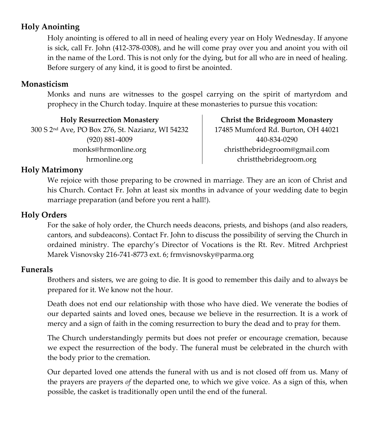### **Holy Anointing**

Holy anointing is offered to all in need of healing every year on Holy Wednesday. If anyone is sick, call Fr. John (412-378-0308), and he will come pray over you and anoint you with oil in the name of the Lord. This is not only for the dying, but for all who are in need of healing. Before surgery of any kind, it is good to first be anointed.

### **Monasticism**

Monks and nuns are witnesses to the gospel carrying on the spirit of martyrdom and prophecy in the Church today. Inquire at these monasteries to pursue this vocation:

**Holy Resurrection Monastery** 300 S 2nd Ave, PO Box 276, St. Nazianz, WI 54232 (920) 881-4009 monks@hrmonline.org hrmonline.org

**Christ the Bridegroom Monastery** 17485 Mumford Rd. Burton, OH 44021 440-834-0290 christthebridegroom@gmail.com christthebridegroom.org

### **Holy Matrimony**

We rejoice with those preparing to be crowned in marriage. They are an icon of Christ and his Church. Contact Fr. John at least six months in advance of your wedding date to begin marriage preparation (and before you rent a hall!).

### **Holy Orders**

For the sake of holy order, the Church needs deacons, priests, and bishops (and also readers, cantors, and subdeacons). Contact Fr. John to discuss the possibility of serving the Church in ordained ministry. The eparchy's Director of Vocations is the Rt. Rev. Mitred Archpriest Marek Visnovsky 216-741-8773 ext. 6; frmvisnovsky@parma.org

### **Funerals**

Brothers and sisters, we are going to die. It is good to remember this daily and to always be prepared for it. We know not the hour.

Death does not end our relationship with those who have died. We venerate the bodies of our departed saints and loved ones, because we believe in the resurrection. It is a work of mercy and a sign of faith in the coming resurrection to bury the dead and to pray for them.

The Church understandingly permits but does not prefer or encourage cremation, because we expect the resurrection of the body. The funeral must be celebrated in the church with the body prior to the cremation.

Our departed loved one attends the funeral with us and is not closed off from us. Many of the prayers are prayers *of* the departed one, to which we give voice. As a sign of this, when possible, the casket is traditionally open until the end of the funeral.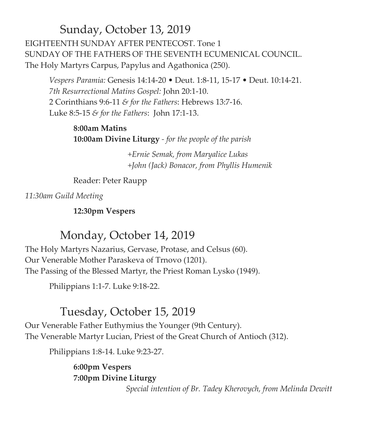Sunday, October 13, 2019 EIGHTEENTH SUNDAY AFTER PENTECOST. Tone 1 SUNDAY OF THE FATHERS OF THE SEVENTH ECUMENICAL COUNCIL. The Holy Martyrs Carpus, Papylus and Agathonica (250).

*Vespers Paramia:* Genesis 14:14-20 • Deut. 1:8-11, 15-17 • Deut. 10:14-21. *7th Resurrectional Matins Gospel:* John 20:1-10. 2 Corinthians 9:6-11 *& for the Fathers*: Hebrews 13:7-16. Luke 8:5-15 *& for the Fathers*: John 17:1-13.

**8:00am Matins 10:00am Divine Liturgy** *- for the people of the parish*

> *+Ernie Semak, from Maryalice Lukas +John (Jack) Bonacor, from Phyllis Humenik*

Reader: Peter Raupp

*11:30am Guild Meeting*

**12:30pm Vespers**

## Monday, October 14, 2019

The Holy Martyrs Nazarius, Gervase, Protase, and Celsus (60). Our Venerable Mother Paraskeva of Trnovo (1201). The Passing of the Blessed Martyr, the Priest Roman Lysko (1949).

Philippians 1:1-7. Luke 9:18-22.

# Tuesday, October 15, 2019

Our Venerable Father Euthymius the Younger (9th Century). The Venerable Martyr Lucian, Priest of the Great Church of Antioch (312).

Philippians 1:8-14. Luke 9:23-27.

**6:00pm Vespers 7:00pm Divine Liturgy** 

 *Special intention of Br. Tadey Kherovych, from Melinda Dewitt*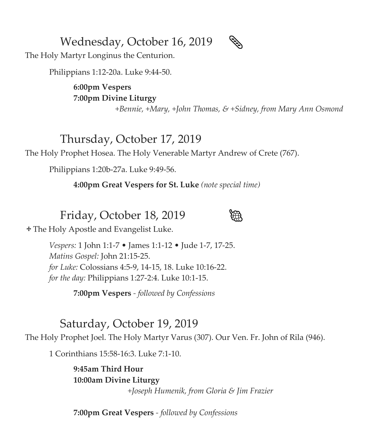Wednesday, October 16, 2019

The Holy Martyr Longinus the Centurion.

Philippians 1:12-20a. Luke 9:44-50.

**6:00pm Vespers 7:00pm Divine Liturgy**

*+Bennie, +Mary, +John Thomas, & +Sidney, from Mary Ann Osmond*

## Thursday, October 17, 2019

The Holy Prophet Hosea. The Holy Venerable Martyr Andrew of Crete (767).

Philippians 1:20b-27a. Luke 9:49-56.

**4:00pm Great Vespers for St. Luke** *(note special time)*

## Friday, October 18, 2019



The Holy Apostle and Evangelist Luke.

*Vespers:* 1 John 1:1-7 • James 1:1-12 • Jude 1-7, 17-25. *Matins Gospel:* John 21:15-25. *for Luke:* Colossians 4:5-9, 14-15, 18. Luke 10:16-22. *for the day:* Philippians 1:27-2:4. Luke 10:1-15.

**7:00pm Vespers** *- followed by Confessions*

## Saturday, October 19, 2019

The Holy Prophet Joel. The Holy Martyr Varus (307). Our Ven. Fr. John of Rila (946).

1 Corinthians 15:58-16:3. Luke 7:1-10.

**9:45am Third Hour 10:00am Divine Liturgy** *+Joseph Humenik, from Gloria & Jim Frazier*

**7:00pm Great Vespers** *- followed by Confessions*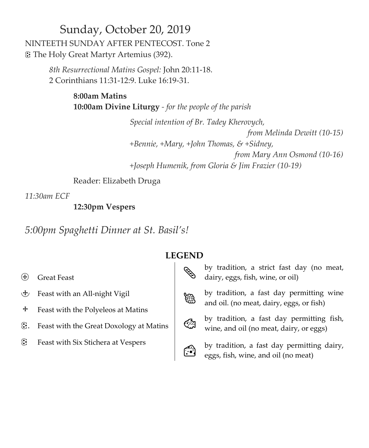## Sunday, October 20, 2019 NINTEETH SUNDAY AFTER PENTECOST. Tone 2 The Holy Great Martyr Artemius (392).

*8th Resurrectional Matins Gospel:* John 20:11-18. 2 Corinthians 11:31-12:9. Luke 16:19-31.

### **8:00am Matins 10:00am Divine Liturgy** *- for the people of the parish*

 *Special intention of Br. Tadey Kherovych, from Melinda Dewitt (10-15) +Bennie, +Mary, +John Thomas, & +Sidney, from Mary Ann Osmond (10-16) +Joseph Humenik, from Gloria & Jim Frazier (10-19)*

Reader: Elizabeth Druga

*11:30am ECF*

**12:30pm Vespers**

*5:00pm Spaghetti Dinner at St. Basil's!*

### **LEGEND**

- Great Feast
- Feast with an All-night Vigil
- $\div$  Feast with the Polyeleos at Matins
- . Feast with the Great Doxology at Matins
- *C* Feast with Six Stichera at Vespers



 by tradition, a strict fast day (no meat, dairy, eggs, fish, wine, or oil)





by tradition, a fast day permitting fish, wine, and oil (no meat, dairy, or eggs)



 by tradition, a fast day permitting dairy, eggs, fish, wine, and oil (no meat)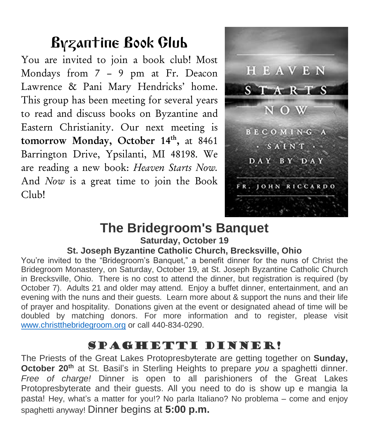# Byzantine Book Club

You are invited to join a book club! Most Mondays from 7 – 9 pm at Fr. Deacon Lawrence & Pani Mary Hendricks' home. This group has been meeting for several years to read and discuss books on Byzantine and Eastern Christianity. Our next meeting is tomorrow Monday, October 14<sup>th</sup>, at 8461 Barrington Drive, Ypsilanti, MI 48198. We are reading a new book: *Heaven Starts Now.*  And *Now* is a great time to join the Book Club!



# **The Bridegroom's Banquet**

## **Saturday, October 19**

### **St. Joseph Byzantine Catholic Church, Brecksville, Ohio**

You're invited to the "Bridegroom's Banquet," a benefit dinner for the nuns of Christ the Bridegroom Monastery, on Saturday, October 19, at St. Joseph Byzantine Catholic Church in Brecksville, Ohio. There is no cost to attend the dinner, but registration is required (by October 7). Adults 21 and older may attend. Enjoy a buffet dinner, entertainment, and an evening with the nuns and their guests. Learn more about & support the nuns and their life of prayer and hospitality. Donations given at the event or designated ahead of time will be doubled by matching donors. For more information and to register, please visit [www.christthebridegroom.org](http://www.christthebridegroom.org/) or call 440-834-0290.

# Spaghetti Dinner!

The Priests of the Great Lakes Protopresbyterate are getting together on **Sunday, October 20th** at St. Basil's in Sterling Heights to prepare *you* a spaghetti dinner. *Free of charge!* Dinner is open to all parishioners of the Great Lakes Protopresbyterate and their guests. All you need to do is show up e mangia la pasta! Hey, what's a matter for you!? No parla Italiano? No problema – come and enjoy spaghetti anyway! Dinner begins at **5:00 p.m.**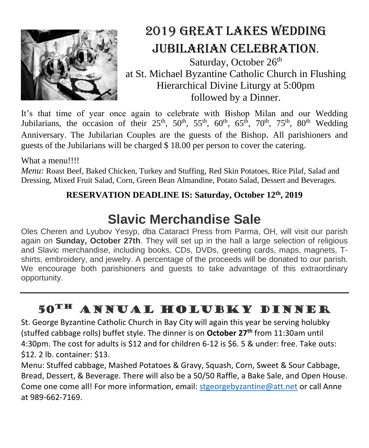

# 2019 Great Lakes Wedding Jubilarian Celebration.

Saturday, October 26<sup>th</sup> at St. Michael Byzantine Catholic Church in Flushing Hierarchical Divine Liturgy at 5:00pm followed by a Dinner.

It's that time of year once again to celebrate with Bishop Milan and our Wedding Jubilarians, the occasion of their  $25<sup>th</sup>$ ,  $50<sup>th</sup>$ ,  $55<sup>th</sup>$ ,  $60<sup>th</sup>$ ,  $65<sup>th</sup>$ ,  $70<sup>th</sup>$ ,  $75<sup>th</sup>$ ,  $80<sup>th</sup>$  Wedding Anniversary. The Jubilarian Couples are the guests of the Bishop. All parishioners and guests of the Jubilarians will be charged \$ 18.00 per person to cover the catering.

### What a menu!!!!

*Menu:* Roast Beef, Baked Chicken, Turkey and Stuffing, Red Skin Potatoes, Rice Pilaf, Salad and Dressing, Mixed Fruit Salad, Corn, Green Bean Almandine, Potato Salad, Dessert and Beverages.

### **RESERVATION DEADLINE IS: Saturday, October 12th, 2019**

# **Slavic Merchandise Sale**

Oles Cheren and Lyubov Yesyp, dba Cataract Press from Parma, OH, will visit our parish again on **Sunday, October 27th**. They will set up in the hall a large selection of religious and Slavic merchandise, including books, CDs, DVDs, greeting cards, maps, magnets, Tshirts, embroidery, and jewelry. A percentage of the proceeds will be donated to our parish. We encourage both parishioners and guests to take advantage of this extraordinary opportunity.

# 50th Annual Holubky dinner

St. George Byzantine Catholic Church in Bay City will again this year be serving holubky (stuffed cabbage rolls) buffet style. The dinner is on **October 27th** from 11:30am until 4:30pm. The cost for adults is \$12 and for children 6-12 is \$6. 5 & under: free. Take outs: \$12. 2 lb. container: \$13.

Menu: Stuffed cabbage, Mashed Potatoes & Gravy, Squash, Corn, Sweet & Sour Cabbage, Bread, Dessert, & Beverage. There will also be a 50/50 Raffle, a Bake Sale, and Open House. Come one come all! For more information, email[: stgeorgebyzantine@att.net](mailto:stgeorgebyzantine@att.net) or call Anne at 989-662-7169.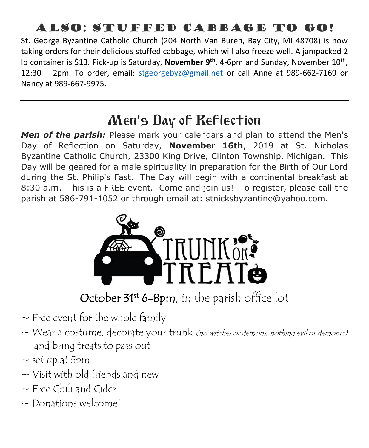# Also: Stuffed cabbage to Go!

St. George Byzantine Catholic Church (204 North Van Buren, Bay City, MI 48708) is now taking orders for their delicious stuffed cabbage, which will also freeze well. A jampacked 2 lb container is \$13. Pick-up is Saturday, **November 9th**, 4-6pm and Sunday, November 10th , 12:30 – 2pm. To order, email: [stgeorgebyz@gmail.net](mailto:stgeorgebyz@gmail.net) or call Anne at 989-662-7169 or Nancy at 989-667-9975.

# Men's Day of Reflection

*Men of the parish:* Please mark your calendars and plan to attend the Men's Day of Reflection on Saturday, **November 16th**, 2019 at St. Nicholas Byzantine Catholic Church, 23300 King Drive, Clinton Township, Michigan. This Day will be geared for a male spirituality in preparation for the Birth of Our Lord during the St. Philip's Fast. The Day will begin with a continental breakfast at 8:30 a.m. This is a FREE event. Come and join us! To register, please call the parish at 586-791-1052 or through email at: stnicksbyzantine@yahoo.com.



October 31st 6-8pm, in the parish office lot

- $\sim$  Free event for the whole family
- $\sim$  Wear a costume, decorate your trunk (no witches or demons, nothing evil or demonic) and bring treats to pass out
- $\sim$  set up at 5pm
- $\sim$  Visit with old friends and new
- $\sim$  Free Chili and Cider
- ~ Donations welcome!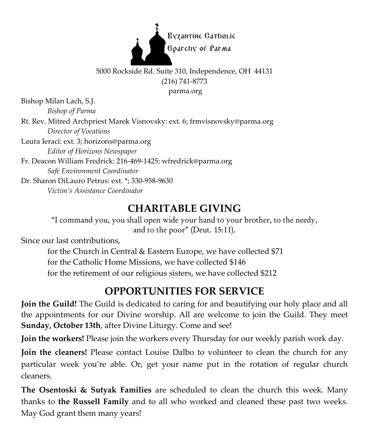

### 5000 Rockside Rd. Suite 310, Independence, OH 44131 (216) 741-8773 parma.org

Bishop Milan Lach, S.J.

*Bishop of Parma*

Rt. Rev. Mitred Archpriest Marek Visnovsky: ext. 6; frmvisnovsky@parma.org *Director of Vocations*

Laura Ieraci: ext. 3; horizons@parma.org *Editor of Horizons Newspaper*

Fr. Deacon William Fredrick: 216-469-1425; wfredrick@parma.org *Safe Environment Coordinator*

Dr. Sharon DiLauro Petrus: ext. \*; 330-958-9630 *Victim's Assistance Coordinator*

# **CHARITABLE GIVING**

"I command you, you shall open wide your hand to your brother, to the needy, and to the poor" (Deut. 15:11).

Since our last contributions,

for the Church in Central & Eastern Europe, we have collected \$71 for the Catholic Home Missions, we have collected \$146 for the retirement of our religious sisters, we have collected \$212

# **OPPORTUNITIES FOR SERVICE**

**Join the Guild!** The Guild is dedicated to caring for and beautifying our holy place and all the appointments for our Divine worship. All are welcome to join the Guild. They meet **Sunday, October 13th**, after Divine Liturgy. Come and see!

**Join the workers!** Please join the workers every Thursday for our weekly parish work day.

**Join the cleaners!** Please contact Louise Dalbo to volunteer to clean the church for any particular week you're able. Or, get your name put in the rotation of regular church cleaners.

**The Osentoski & Sutyak Families** are scheduled to clean the church this week. Many thanks to **the Russell Family** and to all who worked and cleaned these past two weeks. May God grant them many years!